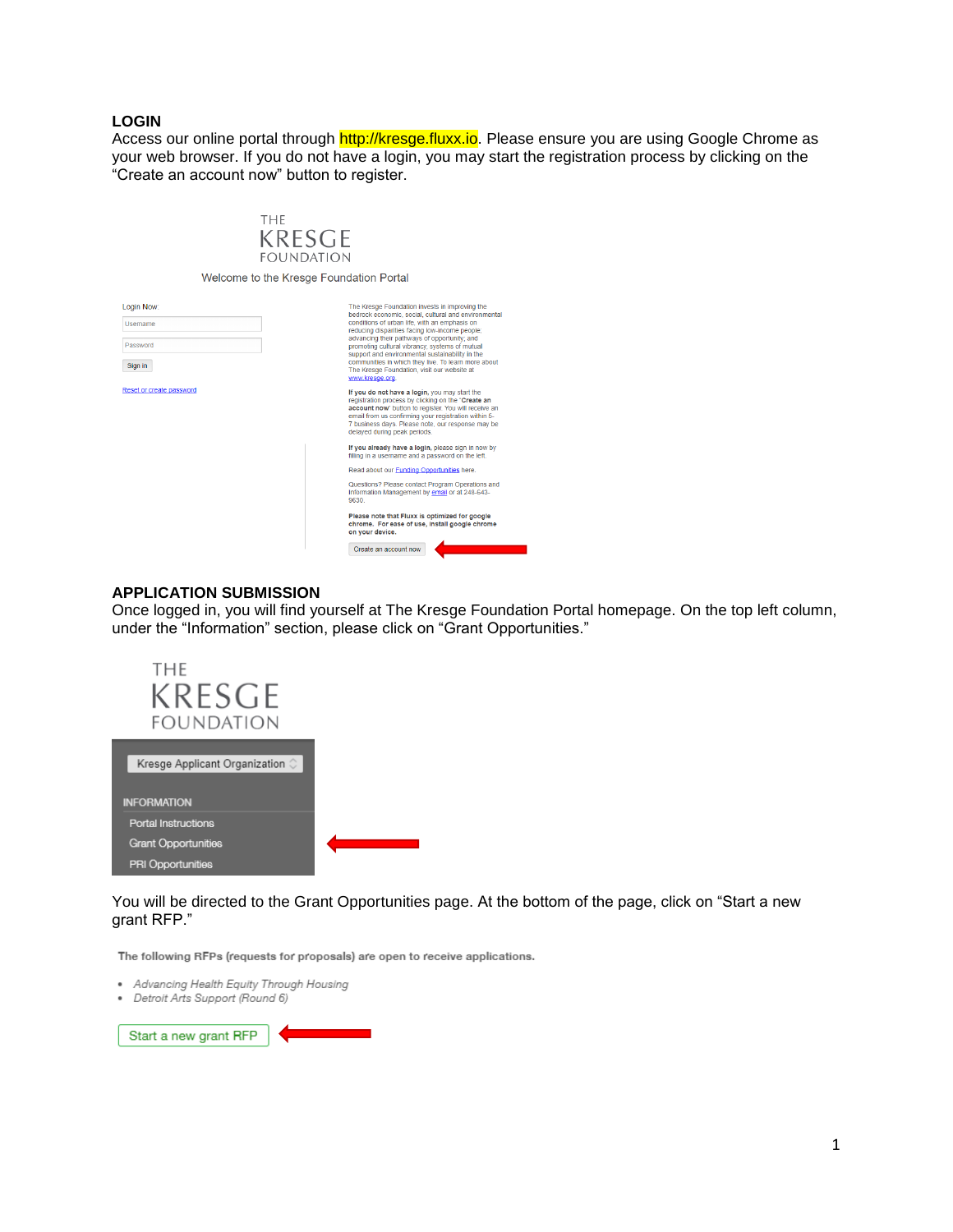## **LOGIN**

Login Now: Usemame Password Sign in Reset or create

Access our online portal through http://kresge.fluxx.io. Please ensure you are using Google Chrome as your web browser. If you do not have a login, you may start the registration process by clicking on the "Create an account now" button to register.

| THF<br>KRESGE<br>FOUNDATION             |                                                                                                                                                                                                                                                                                                                                                                                                                                                                                         |
|-----------------------------------------|-----------------------------------------------------------------------------------------------------------------------------------------------------------------------------------------------------------------------------------------------------------------------------------------------------------------------------------------------------------------------------------------------------------------------------------------------------------------------------------------|
| Welcome to the Kresge Foundation Portal |                                                                                                                                                                                                                                                                                                                                                                                                                                                                                         |
|                                         | The Kresge Foundation invests in improving the<br>bedrock economic, social, cultural and environmental<br>conditions of urban life, with an emphasis on<br>reducing disparities facing low-income people;<br>advancing their pathways of opportunity; and<br>promoting cultural vibrancy, systems of mutual<br>support and environmental sustainability in the<br>communities in which they live. To learn more about<br>The Kresge Foundation, visit our website at<br>www.kresge.org. |
| password                                | If you do not have a login, you may start the<br>registration process by clicking on the "Create an<br>account now" button to register. You will receive an<br>email from us confirming your registration within 5-<br>7 business days. Please note, our response may be<br>delayed during peak periods.                                                                                                                                                                                |
|                                         | If you already have a login, please sign in now by<br>filling in a username and a password on the left.                                                                                                                                                                                                                                                                                                                                                                                 |
|                                         | Read about our Funding Opportunities here.                                                                                                                                                                                                                                                                                                                                                                                                                                              |
|                                         | Questions? Please contact Program Operations and<br>Information Management by email or at 248-643-<br>9630                                                                                                                                                                                                                                                                                                                                                                              |
|                                         | Please note that Fluxx is optimized for google<br>chrome. For ease of use, install google chrome<br>on your device.                                                                                                                                                                                                                                                                                                                                                                     |
|                                         | Create an account now                                                                                                                                                                                                                                                                                                                                                                                                                                                                   |

## **APPLICATION SUBMISSION**

Once logged in, you will find yourself at The Kresge Foundation Portal homepage. On the top left column, under the "Information" section, please click on "Grant Opportunities."



You will be directed to the Grant Opportunities page. At the bottom of the page, click on "Start a new grant RFP."

The following RFPs (requests for proposals) are open to receive applications.

- Advancing Health Equity Through Housing
- · Detroit Arts Support (Round 6)

Start a new grant RFP